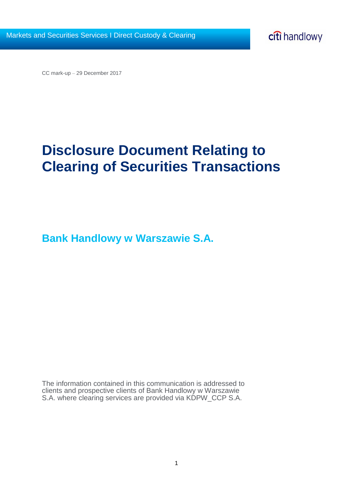CC mark-up – 29 December 2017

# **Disclosure Document Relating to Clearing of Securities Transactions**

**Bank Handlowy w Warszawie S.A.**

The information contained in this communication is addressed to clients and prospective clients of Bank Handlowy w Warszawie S.A. where clearing services are provided via KDPW\_CCP S.A.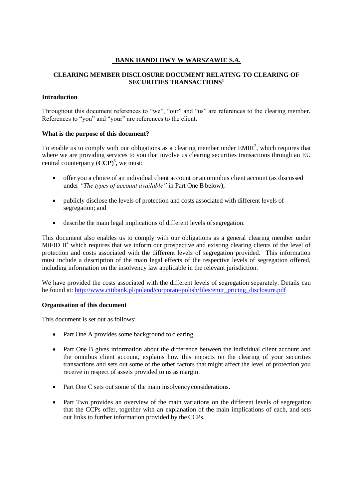## **BANK HANDLOWY W WARSZAWIE S.A.**

## **CLEARING MEMBER DISCLOSURE DOCUMENT RELATING TO CLEARING OF SECURITIES TRANSACTIONS<sup>1</sup>**

#### **Introduction**

Throughout this document references to "we", "our" and "us" are references to the clearing member. References to "you" and "your" are references to the client.

#### **What is the purpose of this document?**

To enable us to comply with our obligations as a clearing member under  $EMIR<sup>2</sup>$ , which requires that where we are providing services to you that involve us clearing securities transactions through an EU central counterparty (**CCP**) 3 , we must:

- offer you a choice of an individual client account or an omnibus client account (as discussed under *"The types of account available"* in Part One B below);
- publicly disclose the levels of protection and costs associated with different levels of segregation; and
- describe the main legal implications of different levels of segregation.

This document also enables us to comply with our obligations as a general clearing member under MiFID  $II<sup>4</sup>$  which requires that we inform our prospective and existing clearing clients of the level of protection and costs associated with the different levels of segregation provided. This information must include a description of the main legal effects of the respective levels of segregation offered, including information on the insolvency law applicable in the relevant jurisdiction.

We have provided the costs associated with the different levels of segregation separately. Details can be found at: [http://www.citibank.pl/poland/corporate/polish/files/emir\\_pricing\\_disclosure.pdf](http://www.citibank.pl/poland/corporate/polish/files/emir_pricing_disclosure.pdf)

## **Organisation of this document**

This document is set out as follows:

- Part One A provides some background to clearing.
- Part One B gives information about the difference between the individual client account and the omnibus client account, explains how this impacts on the clearing of your securities transactions and sets out some of the other factors that might affect the level of protection you receive in respect of assets provided to us as margin.
- Part One C sets out some of the main insolvency considerations.
- Part Two provides an overview of the main variations on the different levels of segregation that the CCPs offer, together with an explanation of the main implications of each, and sets out links to further information provided by the CCPs.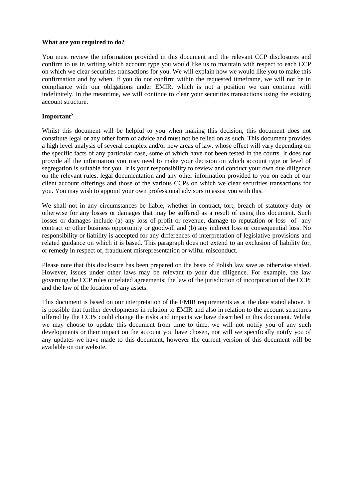#### **What are you required to do?**

You must review the information provided in this document and the relevant CCP disclosures and confirm to us in writing which account type you would like us to maintain with respect to each CCP on which we clear securities transactions for you. We will explain how we would like you to make this confirmation and by when. If you do not confirm within the requested timeframe, we will not be in compliance with our obligations under EMIR, which is not a position we can continue with indefinitely. In the meantime, we will continue to clear your securities transactions using the existing account structure.

## **Important<sup>5</sup>**

Whilst this document will be helpful to you when making this decision, this document does not constitute legal or any other form of advice and must not be relied on as such. This document provides a high level analysis of several complex and/or new areas of law, whose effect will vary depending on the specific facts of any particular case, some of which have not been tested in the courts. It does not provide all the information you may need to make your decision on which account type or level of segregation is suitable for you. It is your responsibility to review and conduct your own due diligence on the relevant rules, legal documentation and any other information provided to you on each of our client account offerings and those of the various CCPs on which we clear securities transactions for you. You may wish to appoint your own professional advisors to assist you with this.

We shall not in any circumstances be liable, whether in contract, tort, breach of statutory duty or otherwise for any losses or damages that may be suffered as a result of using this document. Such losses or damages include (a) any loss of profit or revenue, damage to reputation or loss of any contract or other business opportunity or goodwill and (b) any indirect loss or consequential loss. No responsibility or liability is accepted for any differences of interpretation of legislative provisions and related guidance on which it is based. This paragraph does not extend to an exclusion of liability for, or remedy in respect of, fraudulent misrepresentation or wilful misconduct.

Please note that this disclosure has been prepared on the basis of Polish law save as otherwise stated. However, issues under other laws may be relevant to your due diligence. For example, the law governing the CCP rules or related agreements; the law of the jurisdiction of incorporation of the CCP; and the law of the location of any assets.

This document is based on our interpretation of the EMIR requirements as at the date stated above. It is possible that further developments in relation to EMIR and also in relation to the account structures offered by the CCPs could change the risks and impacts we have described in this document. Whilst we may choose to update this document from time to time, we will not notify you of any such developments or their impact on the account you have chosen, nor will we specifically notify you of any updates we have made to this document, however the current version of this document will be available on our website.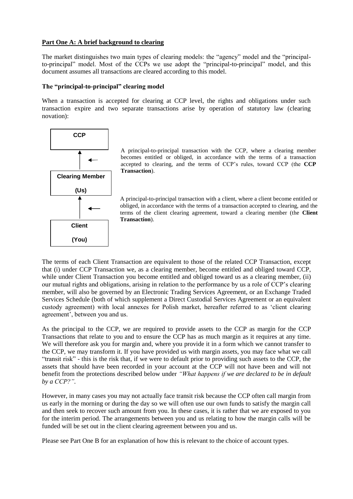#### **Part One A: A brief background to clearing**

The market distinguishes two main types of clearing models: the "agency" model and the "principalto-principal" model. Most of the CCPs we use adopt the "principal-to-principal" model, and this document assumes all transactions are cleared according to this model.

#### **The "principal-to-principal" clearing model**

When a transaction is accepted for clearing at CCP level, the rights and obligations under such transaction expire and two separate transactions arise by operation of statutory law (clearing novation):



A principal-to-principal transaction with the CCP, where a clearing member becomes entitled or obliged, in accordance with the terms of a transaction accepted to clearing, and the terms of CCP's rules, toward CCP (the **CCP Transaction**).

A principal-to-principal transaction with a client, where a client become entitled or obliged, in accordance with the terms of a transaction accepted to clearing, and the terms of the client clearing agreement, toward a clearing member (the **Client Transaction**).

The terms of each Client Transaction are equivalent to those of the related CCP Transaction, except that (i) under CCP Transaction we, as a clearing member, become entitled and obliged toward CCP, while under Client Transaction you become entitled and obliged toward us as a clearing member, (ii) our mutual rights and obligations, arising in relation to the performance by us a role of CCP's clearing member, will also be governed by an Electronic Trading Services Agreement, or an Exchange Traded Services Schedule (both of which supplement a Direct Custodial Services Agreement or an equivalent custody agreement) with local annexes for Polish market, hereafter referred to as 'client clearing agreement', between you and us.

As the principal to the CCP, we are required to provide assets to the CCP as margin for the CCP Transactions that relate to you and to ensure the CCP has as much margin as it requires at any time. We will therefore ask you for margin and, where you provide it in a form which we cannot transfer to the CCP, we may transform it. If you have provided us with margin assets, you may face what we call "transit risk" - this is the risk that, if we were to default prior to providing such assets to the CCP, the assets that should have been recorded in your account at the CCP will not have been and will not benefit from the protections described below under *"What happens if we are declared to be in default by a CCP?"*.

However, in many cases you may not actually face transit risk because the CCP often call margin from us early in the morning or during the day so we will often use our own funds to satisfy the margin call and then seek to recover such amount from you. In these cases, it is rather that we are exposed to you for the interim period. The arrangements between you and us relating to how the margin calls will be funded will be set out in the client clearing agreement between you and us.

Please see Part One B for an explanation of how this is relevant to the choice of account types.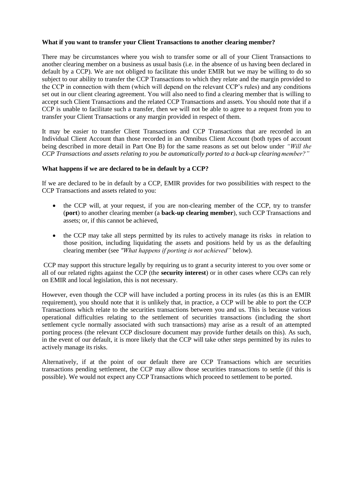#### **What if you want to transfer your Client Transactions to another clearing member?**

There may be circumstances where you wish to transfer some or all of your Client Transactions to another clearing member on a business as usual basis (i.e. in the absence of us having been declared in default by a CCP). We are not obliged to facilitate this under EMIR but we may be willing to do so subject to our ability to transfer the CCP Transactions to which they relate and the margin provided to the CCP in connection with them (which will depend on the relevant CCP's rules) and any conditions set out in our client clearing agreement. You will also need to find a clearing member that is willing to accept such Client Transactions and the related CCP Transactions and assets. You should note that if a CCP is unable to facilitate such a transfer, then we will not be able to agree to a request from you to transfer your Client Transactions or any margin provided in respect of them.

It may be easier to transfer Client Transactions and CCP Transactions that are recorded in an Individual Client Account than those recorded in an Omnibus Client Account (both types of account being described in more detail in Part One B) for the same reasons as set out below under *"Will the CCP Transactions and assets relating to you be automatically ported to a back-up clearing member?"*

#### **What happens if we are declared to be in default by a CCP?**

If we are declared to be in default by a CCP, EMIR provides for two possibilities with respect to the CCP Transactions and assets related to you:

- the CCP will, at your request, if you are non-clearing member of the CCP, try to transfer (**port**) to another clearing member (a **back-up clearing member**), such CCP Transactions and assets; or, if this cannot be achieved,
- the CCP may take all steps permitted by its rules to actively manage its risks in relation to those position, including liquidating the assets and positions held by us as the defaulting clearing member (see *"What happens if porting is not achieved"* below).

CCP may support this structure legally by requiring us to grant a security interest to you over some or all of our related rights against the CCP (the **security interest**) or in other cases where CCPs can rely on EMIR and local legislation, this is not necessary.

However, even though the CCP will have included a porting process in its rules (as this is an EMIR requirement), you should note that it is unlikely that, in practice, a CCP will be able to port the CCP Transactions which relate to the securities transactions between you and us. This is because various operational difficulties relating to the settlement of securities transactions (including the short settlement cycle normally associated with such transactions) may arise as a result of an attempted porting process (the relevant CCP disclosure document may provide further details on this). As such, in the event of our default, it is more likely that the CCP will take other steps permitted by its rules to actively manage its risks.

Alternatively, if at the point of our default there are CCP Transactions which are securities transactions pending settlement, the CCP may allow those securities transactions to settle (if this is possible). We would not expect any CCP Transactions which proceed to settlement to be ported.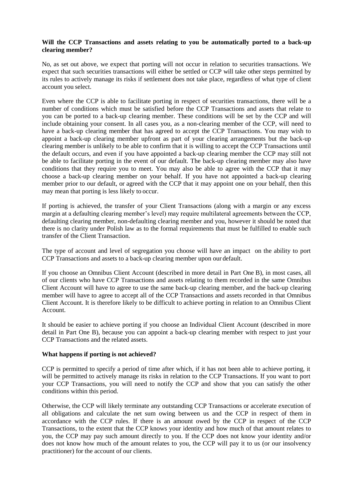#### **Will the CCP Transactions and assets relating to you be automatically ported to a back-up clearing member?**

No, as set out above, we expect that porting will not occur in relation to securities transactions. We expect that such securities transactions will either be settled or CCP will take other steps permitted by its rules to actively manage its risks if settlement does not take place, regardless of what type of client account you select.

Even where the CCP is able to facilitate porting in respect of securities transactions, there will be a number of conditions which must be satisfied before the CCP Transactions and assets that relate to you can be ported to a back-up clearing member. These conditions will be set by the CCP and will include obtaining your consent. In all cases you, as a non-clearing member of the CCP, will need to have a back-up clearing member that has agreed to accept the CCP Transactions. You may wish to appoint a back-up clearing member upfront as part of your clearing arrangements but the back-up clearing member is unlikely to be able to confirm that it is willing to accept the CCP Transactions until the default occurs, and even if you have appointed a back-up clearing member the CCP may still not be able to facilitate porting in the event of our default. The back-up clearing member may also have conditions that they require you to meet. You may also be able to agree with the CCP that it may choose a back-up clearing member on your behalf. If you have not appointed a back-up clearing member prior to our default, or agreed with the CCP that it may appoint one on your behalf, then this may mean that porting is less likely to occur.

If porting is achieved, the transfer of your Client Transactions (along with a margin or any excess margin at a defaulting clearing member's level) may require multilateral agreements between the CCP, defaulting clearing member, non-defaulting clearing member and you, however it should be noted that there is no clarity under Polish law as to the formal requirements that must be fulfilled to enable such transfer of the Client Transaction.

The type of account and level of segregation you choose will have an impact on the ability to port CCP Transactions and assets to a back-up clearing member upon our default.

If you choose an Omnibus Client Account (described in more detail in Part One B), in most cases, all of our clients who have CCP Transactions and assets relating to them recorded in the same Omnibus Client Account will have to agree to use the same back-up clearing member, and the back-up clearing member will have to agree to accept all of the CCP Transactions and assets recorded in that Omnibus Client Account. It is therefore likely to be difficult to achieve porting in relation to an Omnibus Client Account.

It should be easier to achieve porting if you choose an Individual Client Account (described in more detail in Part One B), because you can appoint a back-up clearing member with respect to just your CCP Transactions and the related assets.

#### **What happens if porting is not achieved?**

CCP is permitted to specify a period of time after which, if it has not been able to achieve porting, it will be permitted to actively manage its risks in relation to the CCP Transactions. If you want to port your CCP Transactions, you will need to notify the CCP and show that you can satisfy the other conditions within this period.

Otherwise, the CCP will likely terminate any outstanding CCP Transactions or accelerate execution of all obligations and calculate the net sum owing between us and the CCP in respect of them in accordance with the CCP rules. If there is an amount owed by the CCP in respect of the CCP Transactions, to the extent that the CCP knows your identity and how much of that amount relates to you, the CCP may pay such amount directly to you. If the CCP does not know your identity and/or does not know how much of the amount relates to you, the CCP will pay it to us (or our insolvency practitioner) for the account of our clients.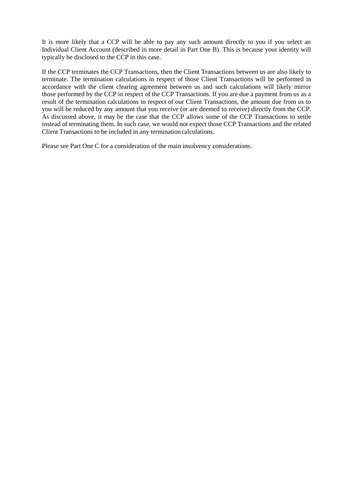It is more likely that a CCP will be able to pay any such amount directly to you if you select an Individual Client Account (described in more detail in Part One B). This is because your identity will typically be disclosed to the CCP in this case.

If the CCP terminates the CCP Transactions, then the Client Transactions between us are also likely to terminate. The termination calculations in respect of those Client Transactions will be performed in accordance with the client clearing agreement between us and such calculations will likely mirror those performed by the CCP in respect of the CCP Transactions. If you are due a payment from us as a result of the termination calculations in respect of our Client Transactions, the amount due from us to you will be reduced by any amount that you receive (or are deemed to receive) directly from the CCP. As discussed above, it may be the case that the CCP allows some of the CCP Transactions to settle instead of terminating them. In such case, we would not expect those CCP Transactions and the related Client Transactions to be included in any terminationcalculations.

Please see Part One C for a consideration of the main insolvency considerations.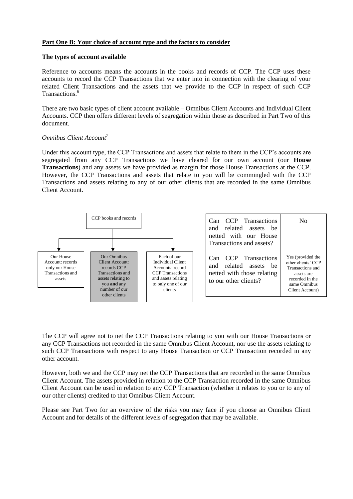#### **Part One B: Your choice of account type and the factors to consider**

#### **The types of account available**

Reference to accounts means the accounts in the books and records of CCP. The CCP uses these accounts to record the CCP Transactions that we enter into in connection with the clearing of your related Client Transactions and the assets that we provide to the CCP in respect of such CCP Transactions.<sup>6</sup>

There are two basic types of client account available – Omnibus Client Accounts and Individual Client Accounts. CCP then offers different levels of segregation within those as described in Part Two of this document.

#### *Omnibus Client Account<sup>7</sup>*

Under this account type, the CCP Transactions and assets that relate to them in the CCP's accounts are segregated from any CCP Transactions we have cleared for our own account (our **House Transactions**) and any assets we have provided as margin for those House Transactions at the CCP. However, the CCP Transactions and assets that relate to you will be commingled with the CCP Transactions and assets relating to any of our other clients that are recorded in the same Omnibus Client Account.



The CCP will agree not to net the CCP Transactions relating to you with our House Transactions or any CCP Transactions not recorded in the same Omnibus Client Account, nor use the assets relating to such CCP Transactions with respect to any House Transaction or CCP Transaction recorded in any other account.

However, both we and the CCP may net the CCP Transactions that are recorded in the same Omnibus Client Account. The assets provided in relation to the CCP Transaction recorded in the same Omnibus Client Account can be used in relation to any CCP Transaction (whether it relates to you or to any of our other clients) credited to that Omnibus Client Account.

Please see Part Two for an overview of the risks you may face if you choose an Omnibus Client Account and for details of the different levels of segregation that may be available.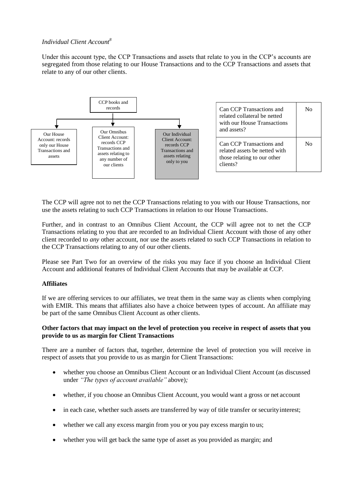## *Individual Client Account<sup>8</sup>*

Under this account type, the CCP Transactions and assets that relate to you in the CCP's accounts are segregated from those relating to our House Transactions and to the CCP Transactions and assets that relate to any of our other clients.



The CCP will agree not to net the CCP Transactions relating to you with our House Transactions, nor use the assets relating to such CCP Transactions in relation to our House Transactions.

Further, and in contrast to an Omnibus Client Account, the CCP will agree not to net the CCP Transactions relating to you that are recorded to an Individual Client Account with those of any other client recorded to *any* other account, nor use the assets related to such CCP Transactions in relation to the CCP Transactions relating to any of our other clients.

Please see Part Two for an overview of the risks you may face if you choose an Individual Client Account and additional features of Individual Client Accounts that may be available at CCP.

#### **Affiliates**

If we are offering services to our affiliates, we treat them in the same way as clients when complying with EMIR. This means that affiliates also have a choice between types of account. An affiliate may be part of the same Omnibus Client Account as other clients.

#### **Other factors that may impact on the level of protection you receive in respect of assets that you provide to us as margin for Client Transactions**

There are a number of factors that, together, determine the level of protection you will receive in respect of assets that you provide to us as margin for Client Transactions:

- whether you choose an Omnibus Client Account or an Individual Client Account (as discussed under *"The types of account available"* above)*;*
- whether, if you choose an Omnibus Client Account, you would want a gross or net account
- in each case, whether such assets are transferred by way of title transfer or security interest;
- whether we call any excess margin from you or you pay excess margin to us;
- whether you will get back the same type of asset as you provided as margin; and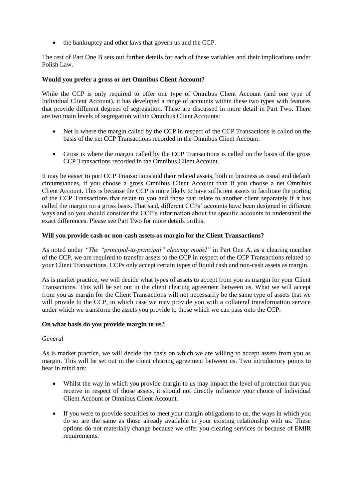• the bankruptcy and other laws that govern us and the CCP.

The rest of Part One B sets out further details for each of these variables and their implications under Polish Law.

#### **Would you prefer a gross or net Omnibus Client Account?**

While the CCP is only required to offer one type of Omnibus Client Account (and one type of Individual Client Account), it has developed a range of accounts within these two types with features that provide different degrees of segregation. These are discussed in more detail in Part Two. There are two main levels of segregation within Omnibus Client Accounts:

- Net is where the margin called by the CCP in respect of the CCP Transactions is called on the basis of the net CCP Transactions recorded in the Omnibus Client Account.
- Gross is where the margin called by the CCP Transactions is called on the basis of the gross CCP Transactions recorded in the Omnibus Client Account.

It may be easier to port CCP Transactions and their related assets, both in business as usual and default circumstances, if you choose a gross Omnibus Client Account than if you choose a net Omnibus Client Account. This is because the CCP is more likely to have sufficient assets to facilitate the porting of the CCP Transactions that relate to you and those that relate to another client separately if it has called the margin on a gross basis. That said, different CCPs' accounts have been designed in different ways and so you should consider the CCP's information about the specific accounts to understand the exact differences. Please see Part Two for more details on this.

#### **Will you provide cash or non-cash assets as margin for the Client Transactions?**

As noted under *"The "principal-to-principal" clearing model"* in Part One A, as a clearing member of the CCP, we are required to transfer assets to the CCP in respect of the CCP Transactions related to your Client Transactions. CCPs only accept certain types of liquid cash and non-cash assets as margin.

As is market practice, we will decide what types of assets to accept from you as margin for your Client Transactions. This will be set out in the client clearing agreement between us. What we will accept from you as margin for the Client Transactions will not necessarily be the same type of assets that we will provide to the CCP, in which case we may provide you with a collateral transformation service under which we transform the assets you provide to those which we can pass onto the CCP.

#### **On what basis do you provide margin to us?**

#### *General*

As is market practice, we will decide the basis on which we are willing to accept assets from you as margin. This will be set out in the client clearing agreement between us. Two introductory points to bear in mind are:

- Whilst the way in which you provide margin to us may impact the level of protection that you receive in respect of those assets, it should not directly influence your choice of Individual Client Account or Omnibus Client Account.
- If you were to provide securities to meet your margin obligations to us, the ways in which you do so are the same as those already available in your existing relationship with us. These options do not materially change because we offer you clearing services or because of EMIR requirements.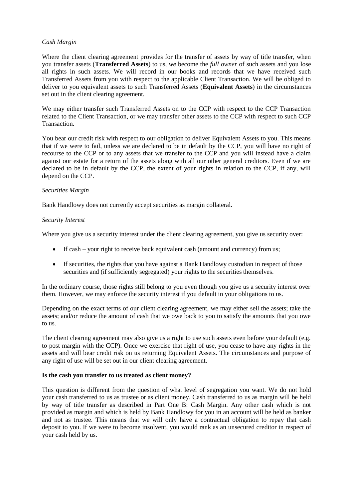#### *Cash Margin*

Where the client clearing agreement provides for the transfer of assets by way of title transfer, when you transfer assets (**Transferred Assets**) to us, *we* become the *full owner* of such assets and you lose all rights in such assets. We will record in our books and records that we have received such Transferred Assets from you with respect to the applicable Client Transaction. We will be obliged to deliver to you equivalent assets to such Transferred Assets (**Equivalent Assets**) in the circumstances set out in the client clearing agreement.

We may either transfer such Transferred Assets on to the CCP with respect to the CCP Transaction related to the Client Transaction, or we may transfer other assets to the CCP with respect to such CCP **Transaction** 

You bear our credit risk with respect to our obligation to deliver Equivalent Assets to you. This means that if we were to fail, unless we are declared to be in default by the CCP, you will have no right of recourse to the CCP or to any assets that we transfer to the CCP and you will instead have a claim against our estate for a return of the assets along with all our other general creditors. Even if we are declared to be in default by the CCP, the extent of your rights in relation to the CCP, if any, will depend on the CCP.

#### *Securities Margin*

Bank Handlowy does not currently accept securities as margin collateral.

#### *Security Interest*

Where you give us a security interest under the client clearing agreement, you give us security over:

- If cash your right to receive back equivalent cash (amount and currency) from us;
- If securities, the rights that you have against a Bank Handlowy custodian in respect of those securities and (if sufficiently segregated) your rights to the securities themselves.

In the ordinary course, those rights still belong to you even though you give us a security interest over them. However, we may enforce the security interest if you default in your obligations to us.

Depending on the exact terms of our client clearing agreement, we may either sell the assets; take the assets; and/or reduce the amount of cash that we owe back to you to satisfy the amounts that you owe to us.

The client clearing agreement may also give us a right to use such assets even before your default (e.g. to post margin with the CCP). Once we exercise that right of use, you cease to have any rights in the assets and will bear credit risk on us returning Equivalent Assets. The circumstances and purpose of any right of use will be set out in our client clearing agreement.

#### **Is the cash you transfer to us treated as client money?**

This question is different from the question of what level of segregation you want. We do not hold your cash transferred to us as trustee or as client money. Cash transferred to us as margin will be held by way of title transfer as described in Part One B: Cash Margin. Any other cash which is not provided as margin and which is held by Bank Handlowy for you in an account will be held as banker and not as trustee. This means that we will only have a contractual obligation to repay that cash deposit to you. If we were to become insolvent, you would rank as an unsecured creditor in respect of your cash held by us.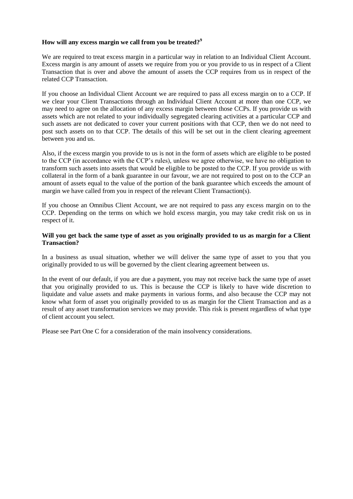#### **How will any excess margin we call from you be treated?<sup>9</sup>**

We are required to treat excess margin in a particular way in relation to an Individual Client Account. Excess margin is any amount of assets we require from you or you provide to us in respect of a Client Transaction that is over and above the amount of assets the CCP requires from us in respect of the related CCP Transaction.

If you choose an Individual Client Account we are required to pass all excess margin on to a CCP. If we clear your Client Transactions through an Individual Client Account at more than one CCP, we may need to agree on the allocation of any excess margin between those CCPs. If you provide us with assets which are not related to your individually segregated clearing activities at a particular CCP and such assets are not dedicated to cover your current positions with that CCP, then we do not need to post such assets on to that CCP. The details of this will be set out in the client clearing agreement between you and us.

Also, if the excess margin you provide to us is not in the form of assets which are eligible to be posted to the CCP (in accordance with the CCP's rules), unless we agree otherwise, we have no obligation to transform such assets into assets that would be eligible to be posted to the CCP. If you provide us with collateral in the form of a bank guarantee in our favour, we are not required to post on to the CCP an amount of assets equal to the value of the portion of the bank guarantee which exceeds the amount of margin we have called from you in respect of the relevant Client Transaction(s).

If you choose an Omnibus Client Account, we are not required to pass any excess margin on to the CCP. Depending on the terms on which we hold excess margin, you may take credit risk on us in respect of it.

#### **Will you get back the same type of asset as you originally provided to us as margin for a Client Transaction?**

In a business as usual situation, whether we will deliver the same type of asset to you that you originally provided to us will be governed by the client clearing agreement between us.

In the event of our default, if you are due a payment, you may not receive back the same type of asset that you originally provided to us. This is because the CCP is likely to have wide discretion to liquidate and value assets and make payments in various forms, and also because the CCP may not know what form of asset you originally provided to us as margin for the Client Transaction and as a result of any asset transformation services we may provide. This risk is present regardless of what type of client account you select.

Please see Part One C for a consideration of the main insolvency considerations.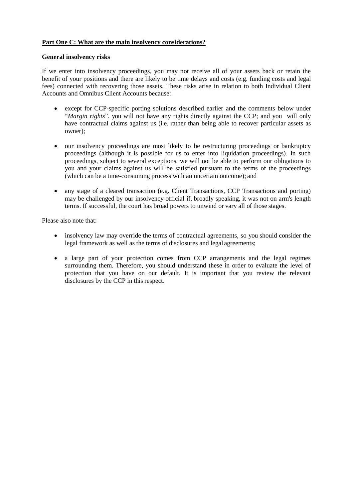## **Part One C: What are the main insolvency considerations?**

#### **General insolvency risks**

If we enter into insolvency proceedings, you may not receive all of your assets back or retain the benefit of your positions and there are likely to be time delays and costs (e.g. funding costs and legal fees) connected with recovering those assets. These risks arise in relation to both Individual Client Accounts and Omnibus Client Accounts because:

- except for CCP-specific porting solutions described earlier and the comments below under "*Margin rights*", you will not have any rights directly against the CCP; and you will only have contractual claims against us (i.e. rather than being able to recover particular assets as owner);
- our insolvency proceedings are most likely to be restructuring proceedings or bankruptcy proceedings (although it is possible for us to enter into liquidation proceedings). In such proceedings, subject to several exceptions, we will not be able to perform our obligations to you and your claims against us will be satisfied pursuant to the terms of the proceedings (which can be a time-consuming process with an uncertain outcome); and
- any stage of a cleared transaction (e.g. Client Transactions, CCP Transactions and porting) may be challenged by our insolvency official if, broadly speaking, it was not on arm's length terms. If successful, the court has broad powers to unwind or vary all of those stages.

Please also note that:

- insolvency law may override the terms of contractual agreements, so you should consider the legal framework as well as the terms of disclosures and legal agreements;
- a large part of your protection comes from CCP arrangements and the legal regimes surrounding them. Therefore, you should understand these in order to evaluate the level of protection that you have on our default. It is important that you review the relevant disclosures by the CCP in this respect.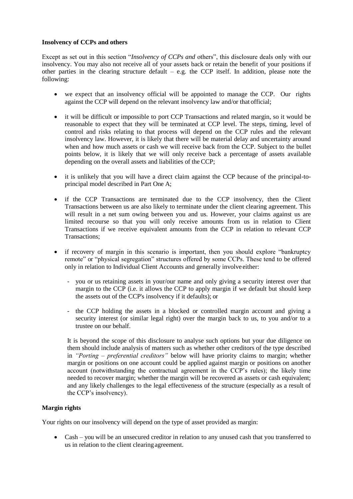#### **Insolvency of CCPs and others**

Except as set out in this section "*Insolvency of CCPs and* others", this disclosure deals only with our insolvency. You may also not receive all of your assets back or retain the benefit of your positions if other parties in the clearing structure default  $-$  e.g. the CCP itself. In addition, please note the following:

- we expect that an insolvency official will be appointed to manage the CCP. Our rights against the CCP will depend on the relevant insolvency law and/or that official;
- it will be difficult or impossible to port CCP Transactions and related margin, so it would be reasonable to expect that they will be terminated at CCP level. The steps, timing, level of control and risks relating to that process will depend on the CCP rules and the relevant insolvency law. However, it is likely that there will be material delay and uncertainty around when and how much assets or cash we will receive back from the CCP. Subject to the bullet points below, it is likely that we will only receive back a percentage of assets available depending on the overall assets and liabilities of the CCP;
- it is unlikely that you will have a direct claim against the CCP because of the principal-toprincipal model described in Part One A;
- if the CCP Transactions are terminated due to the CCP insolvency, then the Client Transactions between us are also likely to terminate under the client clearing agreement. This will result in a net sum owing between you and us. However, your claims against us are limited recourse so that you will only receive amounts from us in relation to Client Transactions if we receive equivalent amounts from the CCP in relation to relevant CCP Transactions;
- if recovery of margin in this scenario is important, then you should explore "bankruptcy" remote" or "physical segregation" structures offered by some CCPs. These tend to be offered only in relation to Individual Client Accounts and generally involve either:
	- you or us retaining assets in your/our name and only giving a security interest over that margin to the CCP (i.e. it allows the CCP to apply margin if we default but should keep the assets out of the CCP's insolvency if it defaults); or
	- the CCP holding the assets in a blocked or controlled margin account and giving a security interest (or similar legal right) over the margin back to us, to you and/or to a trustee on our behalf.

It is beyond the scope of this disclosure to analyse such options but your due diligence on them should include analysis of matters such as whether other creditors of the type described in *"Porting – preferential creditors"* below will have priority claims to margin; whether margin or positions on one account could be applied against margin or positions on another account (notwithstanding the contractual agreement in the CCP's rules); the likely time needed to recover margin; whether the margin will be recovered as assets or cash equivalent; and any likely challenges to the legal effectiveness of the structure (especially as a result of the CCP's insolvency).

#### **Margin rights**

Your rights on our insolvency will depend on the type of asset provided as margin:

 Cash – you will be an unsecured creditor in relation to any unused cash that you transferred to us in relation to the client clearing agreement.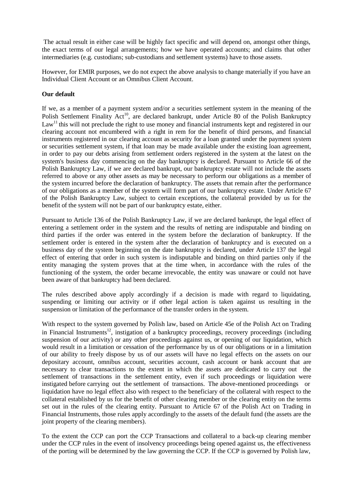The actual result in either case will be highly fact specific and will depend on, amongst other things, the exact terms of our legal arrangements; how we have operated accounts; and claims that other intermediaries (e.g. custodians; sub-custodians and settlement systems) have to those assets.

However, for EMIR purposes, we do not expect the above analysis to change materially if you have an Individual Client Account or an Omnibus Client Account.

## **Our default**

If we, as a member of a payment system and/or a securities settlement system in the meaning of the Polish Settlement Finality Act<sup>10</sup>, are declared bankrupt, under Article 80 of the Polish Bankruptcy  $Law<sup>11</sup>$  this will not preclude the right to use money and financial instruments kept and registered in our clearing account not encumbered with a right in rem for the benefit of third persons, and financial instruments registered in our clearing account as security for a loan granted under the payment system or securities settlement system, if that loan may be made available under the existing loan agreement, in order to pay our debts arising from settlement orders registered in the system at the latest on the system's business day commencing on the day bankruptcy is declared. Pursuant to Article 66 of the Polish Bankruptcy Law, if we are declared bankrupt, our bankruptcy estate will not include the assets referred to above or any other assets as may be necessary to perform our obligations as a member of the system incurred before the declaration of bankruptcy. The assets that remain after the performance of our obligations as a member of the system will form part of our bankruptcy estate. Under Article 67 of the Polish Bankruptcy Law, subject to certain exceptions, the collateral provided by us for the benefit of the system will not be part of our bankruptcy estate, either.

Pursuant to Article 136 of the Polish Bankruptcy Law, if we are declared bankrupt, the legal effect of entering a settlement order in the system and the results of netting are indisputable and binding on third parties if the order was entered in the system before the declaration of bankruptcy. If the settlement order is entered in the system after the declaration of bankruptcy and is executed on a business day of the system beginning on the date bankruptcy is declared, under Article 137 the legal effect of entering that order in such system is indisputable and binding on third parties only if the entity managing the system proves that at the time when, in accordance with the rules of the functioning of the system, the order became irrevocable, the entity was unaware or could not have been aware of that bankruptcy had been declared.

The rules described above apply accordingly if a decision is made with regard to liquidating, suspending or limiting our activity or if other legal action is taken against us resulting in the suspension or limitation of the performance of the transfer orders in the system.

With respect to the system governed by Polish law, based on Article 45e of the Polish Act on Trading in Financial Instruments<sup>12</sup>, instigation of a bankruptcy proceedings, recovery proceedings (including suspension of our activity) or any other proceedings against us, or opening of our liquidation, which would result in a limitation or cessation of the performance by us of our obligations or in a limitation of our ability to freely dispose by us of our assets will have no legal effects on the assets on our depositary account, omnibus account, securities account, cash account or bank account that are necessary to clear transactions to the extent in which the assets are dedicated to carry out the settlement of transactions in the settlement entity, even if such proceedings or liquidation were instigated before carrying out the settlement of transactions. The above-mentioned proceedings or liquidation have no legal effect also with respect to the beneficiary of the collateral with respect to the collateral established by us for the benefit of other clearing member or the clearing entity on the terms set out in the rules of the clearing entity. Pursuant to Article 67 of the Polish Act on Trading in Financial Instruments, those rules apply accordingly to the assets of the default fund (the assets are the joint property of the clearing members).

To the extent the CCP can port the CCP Transactions and collateral to a back-up clearing member under the CCP rules in the event of insolvency proceedings being opened against us, the effectiveness of the porting will be determined by the law governing the CCP. If the CCP is governed by Polish law,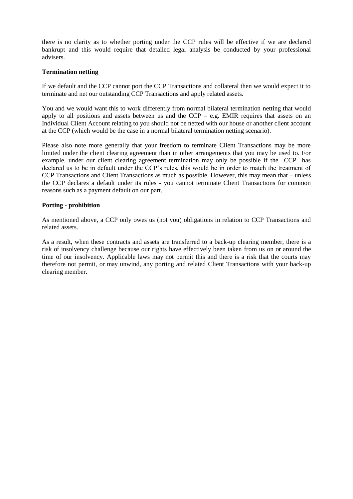there is no clarity as to whether porting under the CCP rules will be effective if we are declared bankrupt and this would require that detailed legal analysis be conducted by your professional advisers.

#### **Termination netting**

If we default and the CCP cannot port the CCP Transactions and collateral then we would expect it to terminate and net our outstanding CCP Transactions and apply related assets.

You and we would want this to work differently from normal bilateral termination netting that would apply to all positions and assets between us and the  $CCP - e.g.$  EMIR requires that assets on an Individual Client Account relating to you should not be netted with our house or another client account at the CCP (which would be the case in a normal bilateral termination netting scenario).

Please also note more generally that your freedom to terminate Client Transactions may be more limited under the client clearing agreement than in other arrangements that you may be used to. For example, under our client clearing agreement termination may only be possible if the CCP has declared us to be in default under the CCP's rules, this would be in order to match the treatment of CCP Transactions and Client Transactions as much as possible. However, this may mean that – unless the CCP declares a default under its rules - you cannot terminate Client Transactions for common reasons such as a payment default on our part.

#### **Porting - prohibition**

As mentioned above, a CCP only owes us (not you) obligations in relation to CCP Transactions and related assets.

As a result, when these contracts and assets are transferred to a back-up clearing member, there is a risk of insolvency challenge because our rights have effectively been taken from us on or around the time of our insolvency. Applicable laws may not permit this and there is a risk that the courts may therefore not permit, or may unwind, any porting and related Client Transactions with your back-up clearing member.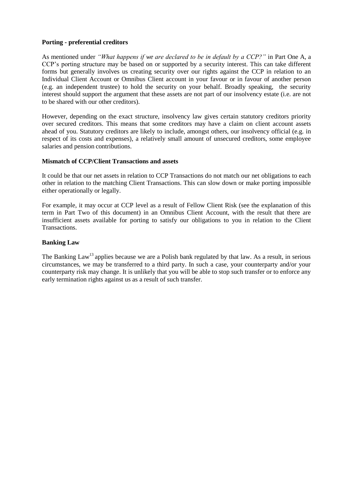#### **Porting - preferential creditors**

As mentioned under *"What happens if we are declared to be in default by a CCP?"* in Part One A, a CCP's porting structure may be based on or supported by a security interest. This can take different forms but generally involves us creating security over our rights against the CCP in relation to an Individual Client Account or Omnibus Client account in your favour or in favour of another person (e.g. an independent trustee) to hold the security on your behalf. Broadly speaking, the security interest should support the argument that these assets are not part of our insolvency estate (i.e. are not to be shared with our other creditors).

However, depending on the exact structure, insolvency law gives certain statutory creditors priority over secured creditors. This means that some creditors may have a claim on client account assets ahead of you. Statutory creditors are likely to include, amongst others, our insolvency official (e.g. in respect of its costs and expenses), a relatively small amount of unsecured creditors, some employee salaries and pension contributions.

#### **Mismatch of CCP/Client Transactions and assets**

It could be that our net assets in relation to CCP Transactions do not match our net obligations to each other in relation to the matching Client Transactions. This can slow down or make porting impossible either operationally or legally.

For example, it may occur at CCP level as a result of Fellow Client Risk (see the explanation of this term in Part Two of this document) in an Omnibus Client Account, with the result that there are insufficient assets available for porting to satisfy our obligations to you in relation to the Client Transactions.

#### **Banking Law**

The Banking Law<sup>13</sup> applies because we are a Polish bank regulated by that law. As a result, in serious circumstances, we may be transferred to a third party. In such a case, your counterparty and/or your counterparty risk may change. It is unlikely that you will be able to stop such transfer or to enforce any early termination rights against us as a result of such transfer.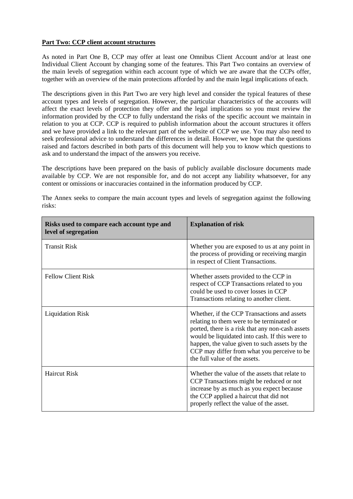#### **Part Two: CCP client account structures**

As noted in Part One B, CCP may offer at least one Omnibus Client Account and/or at least one Individual Client Account by changing some of the features. This Part Two contains an overview of the main levels of segregation within each account type of which we are aware that the CCPs offer, together with an overview of the main protections afforded by and the main legal implications of each.

The descriptions given in this Part Two are very high level and consider the typical features of these account types and levels of segregation. However, the particular characteristics of the accounts will affect the exact levels of protection they offer and the legal implications so you must review the information provided by the CCP to fully understand the risks of the specific account we maintain in relation to you at CCP. CCP is required to publish information about the account structures it offers and we have provided a link to the relevant part of the website of CCP we use. You may also need to seek professional advice to understand the differences in detail. However, we hope that the questions raised and factors described in both parts of this document will help you to know which questions to ask and to understand the impact of the answers you receive.

The descriptions have been prepared on the basis of publicly available disclosure documents made available by CCP. We are not responsible for, and do not accept any liability whatsoever, for any content or omissions or inaccuracies contained in the information produced by CCP.

| Risks used to compare each account type and<br>level of segregation | <b>Explanation of risk</b>                                                                                                                                                                                                                                                                                                      |
|---------------------------------------------------------------------|---------------------------------------------------------------------------------------------------------------------------------------------------------------------------------------------------------------------------------------------------------------------------------------------------------------------------------|
| <b>Transit Risk</b>                                                 | Whether you are exposed to us at any point in<br>the process of providing or receiving margin<br>in respect of Client Transactions.                                                                                                                                                                                             |
| <b>Fellow Client Risk</b>                                           | Whether assets provided to the CCP in<br>respect of CCP Transactions related to you<br>could be used to cover losses in CCP<br>Transactions relating to another client.                                                                                                                                                         |
| <b>Liquidation Risk</b>                                             | Whether, if the CCP Transactions and assets<br>relating to them were to be terminated or<br>ported, there is a risk that any non-cash assets<br>would be liquidated into cash. If this were to<br>happen, the value given to such assets by the<br>CCP may differ from what you perceive to be<br>the full value of the assets. |
| <b>Haircut Risk</b>                                                 | Whether the value of the assets that relate to<br>CCP Transactions might be reduced or not<br>increase by as much as you expect because<br>the CCP applied a haircut that did not<br>properly reflect the value of the asset.                                                                                                   |

The Annex seeks to compare the main account types and levels of segregation against the following risks: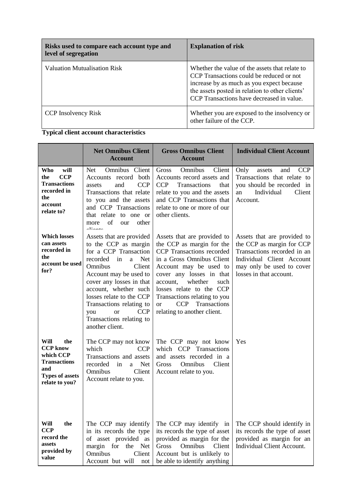| Risks used to compare each account type and<br>level of segregation | <b>Explanation of risk</b>                                                                                                                                                                                                              |
|---------------------------------------------------------------------|-----------------------------------------------------------------------------------------------------------------------------------------------------------------------------------------------------------------------------------------|
| Valuation Mutualisation Risk                                        | Whether the value of the assets that relate to<br>CCP Transactions could be reduced or not<br>increase by as much as you expect because<br>the assets posted in relation to other clients'<br>CCP Transactions have decreased in value. |
| <b>CCP</b> Insolvency Risk                                          | Whether you are exposed to the insolvency or<br>other failure of the CCP.                                                                                                                                                               |

**Typical client account characteristics**

be able to identify

|                                                                                                                       | <b>Net Omnibus Client</b><br><b>Account</b>                                                                                                                                                                                                                                                                                                          | <b>Gross Omnibus Client</b><br><b>Account</b>                                                                                                                                                                                                                                                                                                     | <b>Individual Client Account</b>                                                                                                                                             |
|-----------------------------------------------------------------------------------------------------------------------|------------------------------------------------------------------------------------------------------------------------------------------------------------------------------------------------------------------------------------------------------------------------------------------------------------------------------------------------------|---------------------------------------------------------------------------------------------------------------------------------------------------------------------------------------------------------------------------------------------------------------------------------------------------------------------------------------------------|------------------------------------------------------------------------------------------------------------------------------------------------------------------------------|
| will<br>Who<br><b>CCP</b><br>the<br><b>Transactions</b><br>recorded in<br>the<br>account<br>relate to?                | Net<br>Omnibus Client<br>Accounts record both<br>and<br><b>CCP</b><br>assets<br>Transactions that relate<br>to you and the assets<br>and CCP Transactions<br>that relate to one or<br>of<br>other<br>our<br>more<br>$\lambda$                                                                                                                        | Gross<br>Omnibus<br>Client<br>Accounts record assets and<br>Transactions<br><b>CCP</b><br>that<br>relate to you and the assets<br>and CCP Transactions that<br>relate to one or more of our<br>other clients.                                                                                                                                     | Only<br>assets<br>and<br>CCP<br>Transactions that relate to<br>you should be recorded in<br>Individual<br>Client<br>an<br>Account.                                           |
| <b>Which losses</b><br>can assets<br>recorded in<br>the<br>account be used<br>for?                                    | Assets that are provided<br>to the CCP as margin<br>for a CCP Transaction<br>recorded<br>in<br>Net<br>a<br>Omnibus<br>Client<br>Account may be used to<br>cover any losses in that<br>account, whether such<br>losses relate to the CCP<br>Transactions relating to<br><b>or</b><br><b>CCP</b><br>you<br>Transactions relating to<br>another client. | Assets that are provided to<br>the CCP as margin for the<br>CCP Transactions recorded<br>in a Gross Omnibus Client<br>Account may be used to<br>cover any losses in that<br>whether<br>account,<br>such<br>losses relate to the CCP<br>Transactions relating to you<br>Transactions<br><b>CCP</b><br><sub>or</sub><br>relating to another client. | Assets that are provided to<br>the CCP as margin for CCP<br>Transactions recorded in an<br>Individual Client Account<br>may only be used to cover<br>losses in that account. |
| Will<br>the<br><b>CCP</b> know<br>which CCP<br><b>Transactions</b><br>and<br><b>Types of assets</b><br>relate to you? | The CCP may not know<br>which<br><b>CCP</b><br>Transactions and assets<br>recorded<br>in<br><b>Net</b><br>a<br>Omnibus<br>Client<br>Account relate to you.                                                                                                                                                                                           | The CCP may not know<br>which CCP Transactions<br>and assets recorded in a<br>Omnibus<br>Client<br>Gross<br>Account relate to you.                                                                                                                                                                                                                | Yes                                                                                                                                                                          |
| Will<br>the<br><b>CCP</b><br>record the<br>assets<br>provided by<br>value                                             | The CCP may identify<br>in its records the type<br>of asset provided as<br>margin for<br>the<br>Net<br>Omnibus<br>Client<br>Account but will<br>not                                                                                                                                                                                                  | The CCP may identify in<br>its records the type of asset<br>provided as margin for the<br>Omnibus<br>Gross<br>Client<br>Account but is unlikely to<br>be able to identify anything                                                                                                                                                                | The CCP should identify in<br>its records the type of asset<br>provided as margin for an<br><b>Individual Client Account.</b>                                                |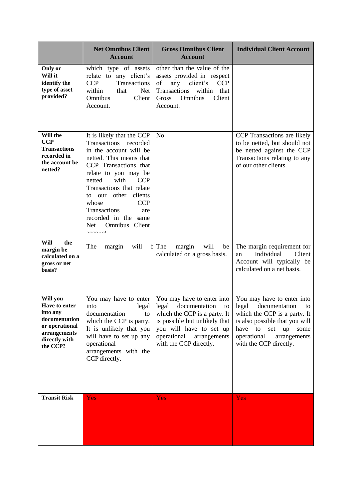|                                                                                                                       | <b>Net Omnibus Client</b><br><b>Account</b>                                                                                                                                                                                                                                                                                                                | <b>Gross Omnibus Client</b><br><b>Account</b>                                                                                                                                | <b>Individual Client Account</b>                                                                                                                                                                                                                                                                              |
|-----------------------------------------------------------------------------------------------------------------------|------------------------------------------------------------------------------------------------------------------------------------------------------------------------------------------------------------------------------------------------------------------------------------------------------------------------------------------------------------|------------------------------------------------------------------------------------------------------------------------------------------------------------------------------|---------------------------------------------------------------------------------------------------------------------------------------------------------------------------------------------------------------------------------------------------------------------------------------------------------------|
| Only or<br>Will it<br>identify the<br>type of asset<br>provided?                                                      | which type of assets<br>relate to any client's<br><b>CCP</b><br>Transactions<br>within<br>that<br><b>Net</b><br>Omnibus<br>Client<br>Account.                                                                                                                                                                                                              | other than the value of the<br>assets provided in respect<br>of<br>any<br>client's<br><b>CCP</b><br>Transactions<br>within<br>that<br>Client<br>Gross<br>Omnibus<br>Account. |                                                                                                                                                                                                                                                                                                               |
| Will the<br><b>CCP</b><br><b>Transactions</b><br>recorded in<br>the account be<br>netted?                             | It is likely that the CCP<br>Transactions recorded<br>in the account will be<br>netted. This means that<br>CCP Transactions that<br>relate to you may be<br>with<br>netted<br><b>CCP</b><br>Transactions that relate<br>to our other<br>clients<br>whose<br><b>CCP</b><br>Transactions<br>are<br>recorded in the same<br>Omnibus Client<br>Net<br>-------- | N <sub>o</sub>                                                                                                                                                               | CCP Transactions are likely<br>to be netted, but should not<br>be netted against the CCP<br>Transactions relating to any<br>of our other clients.                                                                                                                                                             |
| Will<br>the<br>margin be<br>calculated on a<br>gross or net<br>basis?                                                 | will<br>The<br>margin<br>b                                                                                                                                                                                                                                                                                                                                 | The<br>margin<br>will<br>be<br>calculated on a gross basis.                                                                                                                  | The margin requirement for<br>Individual<br>Client<br>an<br>Account will typically be<br>calculated on a net basis.                                                                                                                                                                                           |
| Will you<br>Have to enter<br>into any<br>documentation<br>or operational<br>arrangements<br>directly with<br>the CCP? | documentation<br>to<br>which the CCP is party.<br>It is unlikely that you<br>will have to set up any<br>operational<br>arrangements with the<br>CCP directly.                                                                                                                                                                                              | which the CCP is a party. It<br>is possible but unlikely that<br>you will have to set up<br>operational<br>arrangements<br>with the CCP directly.                            | You may have to enter   You may have to enter into   You may have to enter into<br>into legal   legal documentation to   legal documentation to<br>which the CCP is a party. It<br>is also possible that you will<br>have<br>to<br>up<br>set<br>some<br>operational<br>arrangements<br>with the CCP directly. |
| <b>Transit Risk</b>                                                                                                   | Yes                                                                                                                                                                                                                                                                                                                                                        | Yes                                                                                                                                                                          | Yes                                                                                                                                                                                                                                                                                                           |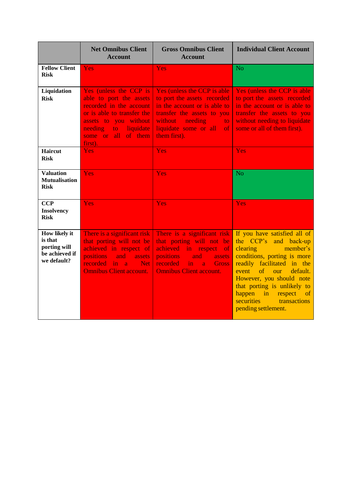|                                                                           | <b>Net Omnibus Client</b><br><b>Account</b>                                                                                                                                                          | <b>Gross Omnibus Client</b><br><b>Account</b>                                                                                                                                                                             | <b>Individual Client Account</b>                                                                                                                                                                                                                                                                                                             |
|---------------------------------------------------------------------------|------------------------------------------------------------------------------------------------------------------------------------------------------------------------------------------------------|---------------------------------------------------------------------------------------------------------------------------------------------------------------------------------------------------------------------------|----------------------------------------------------------------------------------------------------------------------------------------------------------------------------------------------------------------------------------------------------------------------------------------------------------------------------------------------|
| <b>Fellow Client</b><br><b>Risk</b>                                       | Yes                                                                                                                                                                                                  | <b>Yes</b>                                                                                                                                                                                                                | <b>No</b>                                                                                                                                                                                                                                                                                                                                    |
| Liquidation<br><b>Risk</b>                                                | Yes (unless the CCP is<br>able to port the assets<br>recorded in the account<br>or is able to transfer the<br>assets to you without<br>liquidate<br>needing<br>to:<br>some or all of them<br>first). | Yes (unless the CCP is able<br>to port the assets recorded<br>in the account or is able to<br>transfer the assets to you<br>without<br>needing<br>$\mathsf{to}$<br>liquidate some or all<br><sub>of</sub><br>them first). | Yes (unless the CCP is able<br>to port the assets recorded<br>in the account or is able to<br>transfer the assets to you<br>without needing to liquidate<br>some or all of them first).                                                                                                                                                      |
| <b>Haircut</b><br><b>Risk</b>                                             | <b>Yes</b>                                                                                                                                                                                           | Yes                                                                                                                                                                                                                       | Yes                                                                                                                                                                                                                                                                                                                                          |
| <b>Valuation</b><br><b>Mutualisation</b><br><b>Risk</b>                   | Yes                                                                                                                                                                                                  | Yes                                                                                                                                                                                                                       | <b>No</b>                                                                                                                                                                                                                                                                                                                                    |
| <b>CCP</b><br><b>Insolvency</b><br><b>Risk</b>                            | Yes                                                                                                                                                                                                  | Yes                                                                                                                                                                                                                       | Yes                                                                                                                                                                                                                                                                                                                                          |
| How likely it<br>is that<br>porting will<br>be achieved if<br>we default? | There is a significant risk<br>that porting will not be<br>achieved in respect of<br><b>positions</b><br>and<br>assets<br>recorded<br>in a<br>Net<br><b>Omnibus Client account.</b>                  | There is a significant risk<br>that porting will not be<br>achieved<br>in respect<br><sub>of</sub><br>positions<br>and<br>assets<br>recorded<br>in.<br><b>Gross</b><br>$\sim a$<br><b>Omnibus Client account.</b>         | If you have satisfied all of<br>the CCP's<br>and back-up<br>clearing<br>member's<br>conditions, porting is more<br>readily facilitated in the<br>of our<br>event<br>default.<br>However, you should note<br>that porting is unlikely to<br>happen in<br>respect<br><sub>of</sub><br><b>securities</b><br>transactions<br>pending settlement. |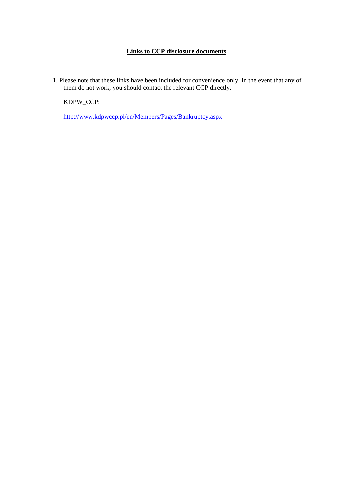## **Links to CCP disclosure documents**

1. Please note that these links have been included for convenience only. In the event that any of them do not work, you should contact the relevant CCP directly.

KDPW\_CCP:

<http://www.kdpwccp.pl/en/Members/Pages/Bankruptcy.aspx>